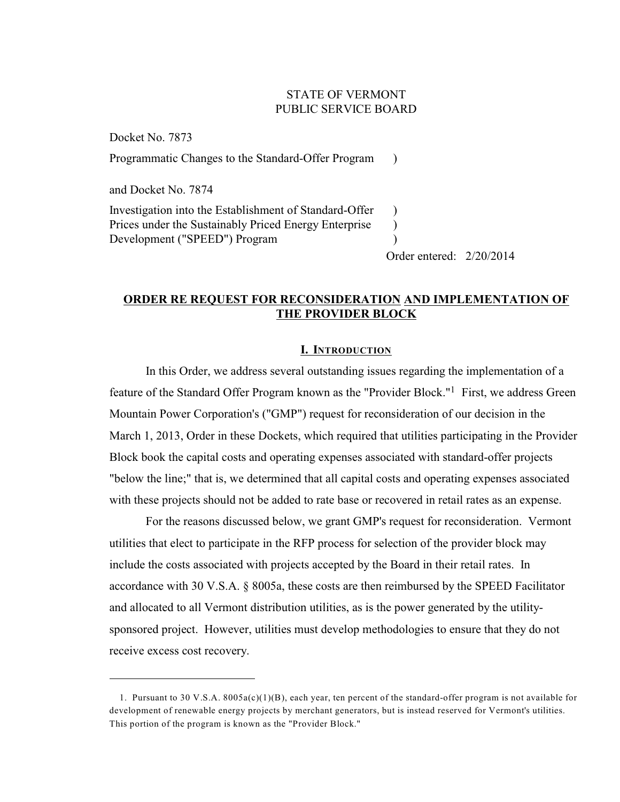# STATE OF VERMONT PUBLIC SERVICE BOARD

Docket No. 7873 Programmatic Changes to the Standard-Offer Program ) and Docket No. 7874 Investigation into the Establishment of Standard-Offer Prices under the Sustainably Priced Energy Enterprise Development ("SPEED") Program ) ) )

Order entered: 2/20/2014

# **ORDER RE REQUEST FOR RECONSIDERATION AND IMPLEMENTATION OF THE PROVIDER BLOCK**

# **I. INTRODUCTION**

In this Order, we address several outstanding issues regarding the implementation of a feature of the Standard Offer Program known as the "Provider Block."<sup>1</sup> First, we address Green Mountain Power Corporation's ("GMP") request for reconsideration of our decision in the March 1, 2013, Order in these Dockets, which required that utilities participating in the Provider Block book the capital costs and operating expenses associated with standard-offer projects "below the line;" that is, we determined that all capital costs and operating expenses associated with these projects should not be added to rate base or recovered in retail rates as an expense.

For the reasons discussed below, we grant GMP's request for reconsideration. Vermont utilities that elect to participate in the RFP process for selection of the provider block may include the costs associated with projects accepted by the Board in their retail rates. In accordance with 30 V.S.A. § 8005a, these costs are then reimbursed by the SPEED Facilitator and allocated to all Vermont distribution utilities, as is the power generated by the utilitysponsored project. However, utilities must develop methodologies to ensure that they do not receive excess cost recovery.

<sup>1.</sup> Pursuant to 30 V.S.A. 8005a(c)(1)(B), each year, ten percent of the standard-offer program is not available for development of renewable energy projects by merchant generators, but is instead reserved for Vermont's utilities. This portion of the program is known as the "Provider Block."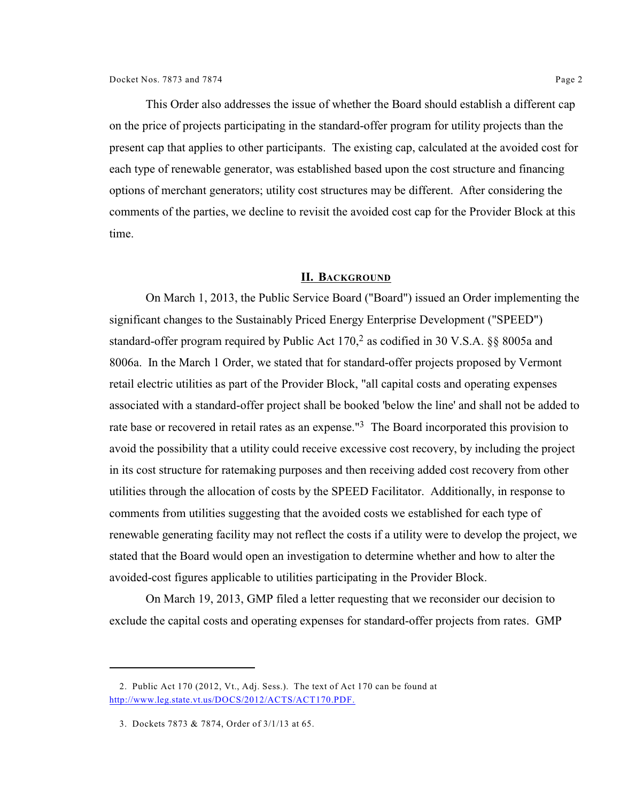This Order also addresses the issue of whether the Board should establish a different cap on the price of projects participating in the standard-offer program for utility projects than the present cap that applies to other participants. The existing cap, calculated at the avoided cost for each type of renewable generator, was established based upon the cost structure and financing options of merchant generators; utility cost structures may be different. After considering the comments of the parties, we decline to revisit the avoided cost cap for the Provider Block at this time.

### **II. BACKGROUND**

On March 1, 2013, the Public Service Board ("Board") issued an Order implementing the significant changes to the Sustainably Priced Energy Enterprise Development ("SPEED") standard-offer program required by Public Act  $170<sup>2</sup>$  as codified in 30 V.S.A. §§ 8005a and 8006a. In the March 1 Order, we stated that for standard-offer projects proposed by Vermont retail electric utilities as part of the Provider Block, "all capital costs and operating expenses associated with a standard-offer project shall be booked 'below the line' and shall not be added to rate base or recovered in retail rates as an expense.<sup>"3</sup> The Board incorporated this provision to avoid the possibility that a utility could receive excessive cost recovery, by including the project in its cost structure for ratemaking purposes and then receiving added cost recovery from other utilities through the allocation of costs by the SPEED Facilitator. Additionally, in response to comments from utilities suggesting that the avoided costs we established for each type of renewable generating facility may not reflect the costs if a utility were to develop the project, we stated that the Board would open an investigation to determine whether and how to alter the avoided-cost figures applicable to utilities participating in the Provider Block.

On March 19, 2013, GMP filed a letter requesting that we reconsider our decision to exclude the capital costs and operating expenses for standard-offer projects from rates. GMP

<sup>2.</sup> Public Act 170 (2012, Vt., Adj. Sess.). The text of Act 170 can be found at <http://www.leg.state.vt.us/DOCS/2012/ACTS/ACT170.PDF.>

<sup>3.</sup> Dockets 7873 & 7874, Order of 3/1/13 at 65.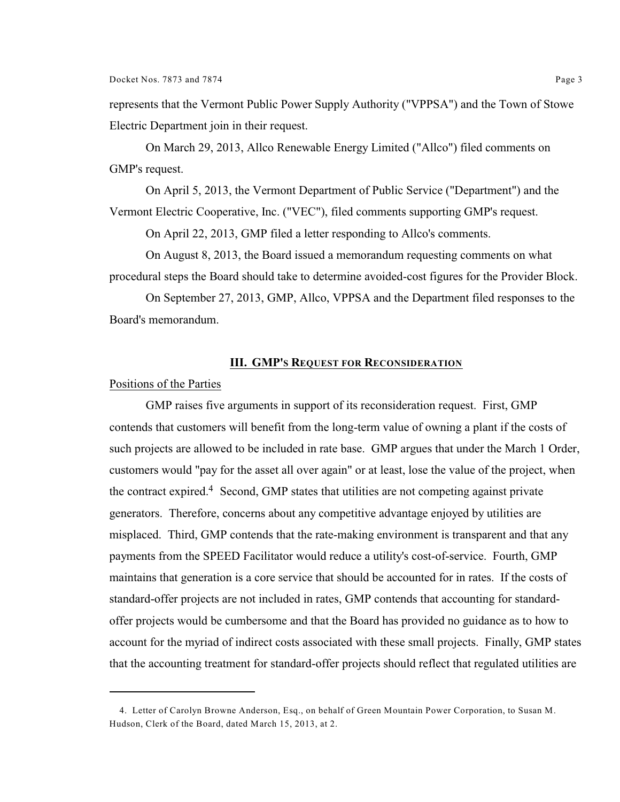represents that the Vermont Public Power Supply Authority ("VPPSA") and the Town of Stowe Electric Department join in their request.

On March 29, 2013, Allco Renewable Energy Limited ("Allco") filed comments on GMP's request.

On April 5, 2013, the Vermont Department of Public Service ("Department") and the Vermont Electric Cooperative, Inc. ("VEC"), filed comments supporting GMP's request.

On April 22, 2013, GMP filed a letter responding to Allco's comments.

On August 8, 2013, the Board issued a memorandum requesting comments on what procedural steps the Board should take to determine avoided-cost figures for the Provider Block.

On September 27, 2013, GMP, Allco, VPPSA and the Department filed responses to the Board's memorandum.

#### **III. GMP'S REQUEST FOR RECONSIDERATION**

## Positions of the Parties

GMP raises five arguments in support of its reconsideration request. First, GMP contends that customers will benefit from the long-term value of owning a plant if the costs of such projects are allowed to be included in rate base. GMP argues that under the March 1 Order, customers would "pay for the asset all over again" or at least, lose the value of the project, when the contract expired.<sup>4</sup> Second, GMP states that utilities are not competing against private generators. Therefore, concerns about any competitive advantage enjoyed by utilities are misplaced. Third, GMP contends that the rate-making environment is transparent and that any payments from the SPEED Facilitator would reduce a utility's cost-of-service. Fourth, GMP maintains that generation is a core service that should be accounted for in rates. If the costs of standard-offer projects are not included in rates, GMP contends that accounting for standardoffer projects would be cumbersome and that the Board has provided no guidance as to how to account for the myriad of indirect costs associated with these small projects. Finally, GMP states that the accounting treatment for standard-offer projects should reflect that regulated utilities are

<sup>4.</sup> Letter of Carolyn Browne Anderson, Esq., on behalf of Green Mountain Power Corporation, to Susan M. Hudson, Clerk of the Board, dated March 15, 2013, at 2.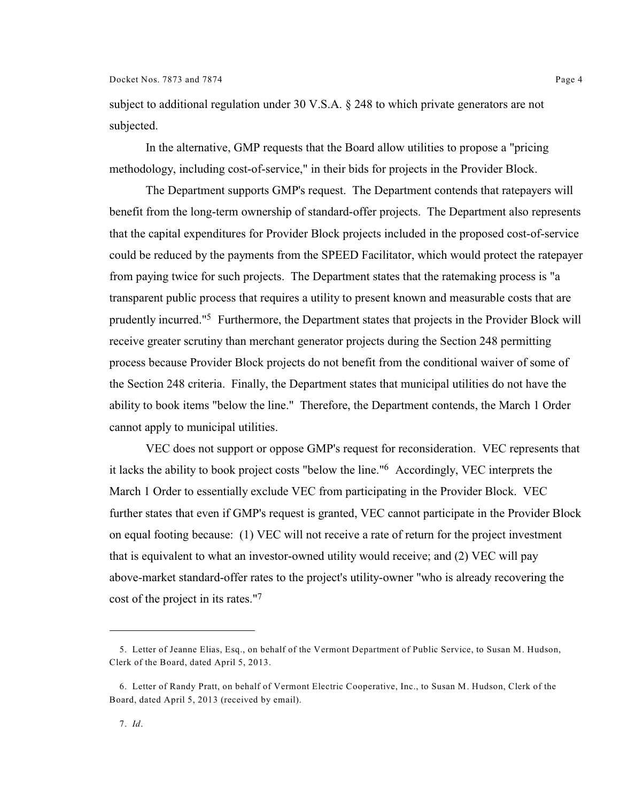subject to additional regulation under 30 V.S.A. § 248 to which private generators are not subjected.

In the alternative, GMP requests that the Board allow utilities to propose a "pricing methodology, including cost-of-service," in their bids for projects in the Provider Block.

The Department supports GMP's request. The Department contends that ratepayers will benefit from the long-term ownership of standard-offer projects. The Department also represents that the capital expenditures for Provider Block projects included in the proposed cost-of-service could be reduced by the payments from the SPEED Facilitator, which would protect the ratepayer from paying twice for such projects. The Department states that the ratemaking process is "a transparent public process that requires a utility to present known and measurable costs that are prudently incurred."<sup>5</sup> Furthermore, the Department states that projects in the Provider Block will receive greater scrutiny than merchant generator projects during the Section 248 permitting process because Provider Block projects do not benefit from the conditional waiver of some of the Section 248 criteria. Finally, the Department states that municipal utilities do not have the ability to book items "below the line." Therefore, the Department contends, the March 1 Order cannot apply to municipal utilities.

VEC does not support or oppose GMP's request for reconsideration. VEC represents that it lacks the ability to book project costs "below the line."<sup>6</sup> Accordingly, VEC interprets the March 1 Order to essentially exclude VEC from participating in the Provider Block. VEC further states that even if GMP's request is granted, VEC cannot participate in the Provider Block on equal footing because: (1) VEC will not receive a rate of return for the project investment that is equivalent to what an investor-owned utility would receive; and (2) VEC will pay above-market standard-offer rates to the project's utility-owner "who is already recovering the cost of the project in its rates."<sup>7</sup>

<sup>5.</sup> Letter of Jeanne Elias, Esq., on behalf of the Vermont Department of Public Service, to Susan M. Hudson, Clerk of the Board, dated April 5, 2013.

<sup>6.</sup> Letter of Randy Pratt, on behalf of Vermont Electric Cooperative, Inc., to Susan M. Hudson, Clerk of the Board, dated April 5, 2013 (received by email).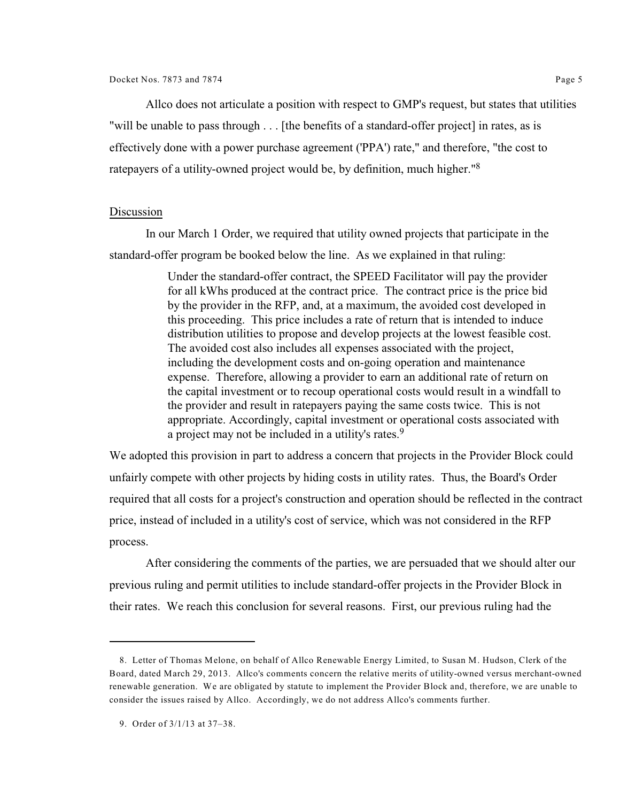Allco does not articulate a position with respect to GMP's request, but states that utilities "will be unable to pass through . . . [the benefits of a standard-offer project] in rates, as is effectively done with a power purchase agreement ('PPA') rate," and therefore, "the cost to ratepayers of a utility-owned project would be, by definition, much higher."<sup>8</sup>

## Discussion

In our March 1 Order, we required that utility owned projects that participate in the standard-offer program be booked below the line. As we explained in that ruling:

> Under the standard-offer contract, the SPEED Facilitator will pay the provider for all kWhs produced at the contract price. The contract price is the price bid by the provider in the RFP, and, at a maximum, the avoided cost developed in this proceeding. This price includes a rate of return that is intended to induce distribution utilities to propose and develop projects at the lowest feasible cost. The avoided cost also includes all expenses associated with the project, including the development costs and on-going operation and maintenance expense. Therefore, allowing a provider to earn an additional rate of return on the capital investment or to recoup operational costs would result in a windfall to the provider and result in ratepayers paying the same costs twice. This is not appropriate. Accordingly, capital investment or operational costs associated with a project may not be included in a utility's rates.<sup>9</sup>

We adopted this provision in part to address a concern that projects in the Provider Block could unfairly compete with other projects by hiding costs in utility rates. Thus, the Board's Order required that all costs for a project's construction and operation should be reflected in the contract price, instead of included in a utility's cost of service, which was not considered in the RFP process.

After considering the comments of the parties, we are persuaded that we should alter our previous ruling and permit utilities to include standard-offer projects in the Provider Block in their rates. We reach this conclusion for several reasons. First, our previous ruling had the

<sup>8.</sup> Letter of Thomas Melone, on behalf of Allco Renewable Energy Limited, to Susan M. Hudson, Clerk of the Board, dated March 29, 2013. Allco's comments concern the relative merits of utility-owned versus merchant-owned renewable generation. We are obligated by statute to implement the Provider Block and, therefore, we are unable to consider the issues raised by Allco. Accordingly, we do not address Allco's comments further.

<sup>9.</sup> Order of 3/1/13 at 37–38.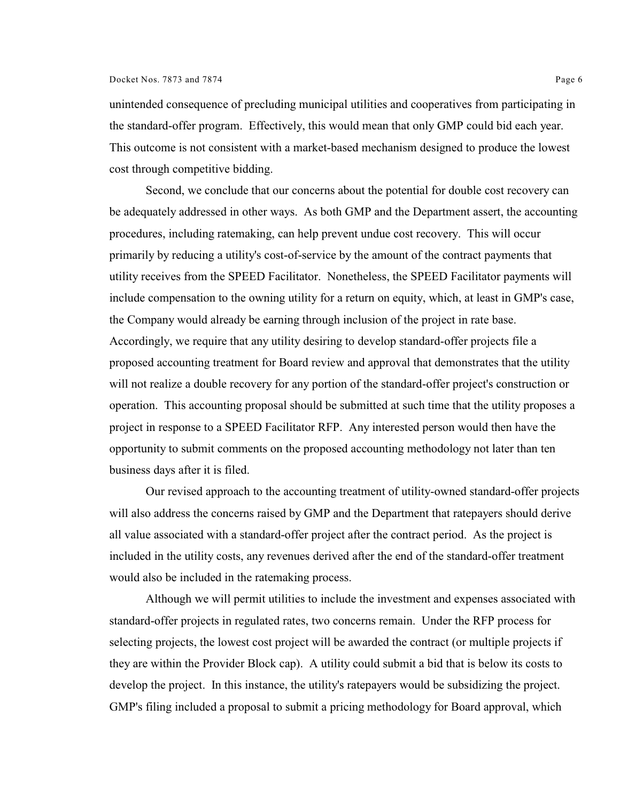unintended consequence of precluding municipal utilities and cooperatives from participating in the standard-offer program. Effectively, this would mean that only GMP could bid each year. This outcome is not consistent with a market-based mechanism designed to produce the lowest cost through competitive bidding.

Second, we conclude that our concerns about the potential for double cost recovery can be adequately addressed in other ways. As both GMP and the Department assert, the accounting procedures, including ratemaking, can help prevent undue cost recovery. This will occur primarily by reducing a utility's cost-of-service by the amount of the contract payments that utility receives from the SPEED Facilitator. Nonetheless, the SPEED Facilitator payments will include compensation to the owning utility for a return on equity, which, at least in GMP's case, the Company would already be earning through inclusion of the project in rate base. Accordingly, we require that any utility desiring to develop standard-offer projects file a proposed accounting treatment for Board review and approval that demonstrates that the utility will not realize a double recovery for any portion of the standard-offer project's construction or operation. This accounting proposal should be submitted at such time that the utility proposes a project in response to a SPEED Facilitator RFP. Any interested person would then have the opportunity to submit comments on the proposed accounting methodology not later than ten business days after it is filed.

Our revised approach to the accounting treatment of utility-owned standard-offer projects will also address the concerns raised by GMP and the Department that ratepayers should derive all value associated with a standard-offer project after the contract period. As the project is included in the utility costs, any revenues derived after the end of the standard-offer treatment would also be included in the ratemaking process.

Although we will permit utilities to include the investment and expenses associated with standard-offer projects in regulated rates, two concerns remain. Under the RFP process for selecting projects, the lowest cost project will be awarded the contract (or multiple projects if they are within the Provider Block cap). A utility could submit a bid that is below its costs to develop the project. In this instance, the utility's ratepayers would be subsidizing the project. GMP's filing included a proposal to submit a pricing methodology for Board approval, which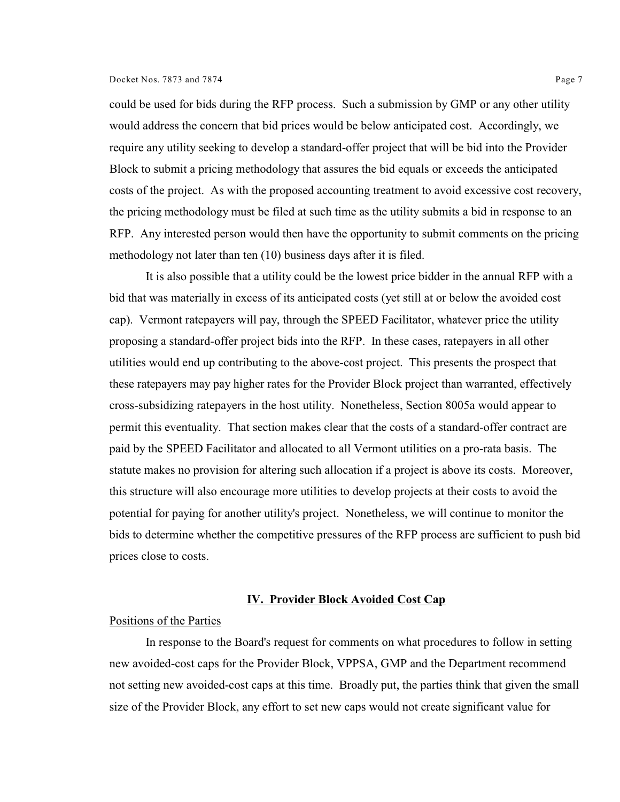#### Docket Nos. 7873 and 7874 Page 7

could be used for bids during the RFP process. Such a submission by GMP or any other utility would address the concern that bid prices would be below anticipated cost. Accordingly, we require any utility seeking to develop a standard-offer project that will be bid into the Provider Block to submit a pricing methodology that assures the bid equals or exceeds the anticipated costs of the project. As with the proposed accounting treatment to avoid excessive cost recovery, the pricing methodology must be filed at such time as the utility submits a bid in response to an RFP. Any interested person would then have the opportunity to submit comments on the pricing methodology not later than ten (10) business days after it is filed.

It is also possible that a utility could be the lowest price bidder in the annual RFP with a bid that was materially in excess of its anticipated costs (yet still at or below the avoided cost cap). Vermont ratepayers will pay, through the SPEED Facilitator, whatever price the utility proposing a standard-offer project bids into the RFP. In these cases, ratepayers in all other utilities would end up contributing to the above-cost project. This presents the prospect that these ratepayers may pay higher rates for the Provider Block project than warranted, effectively cross-subsidizing ratepayers in the host utility. Nonetheless, Section 8005a would appear to permit this eventuality. That section makes clear that the costs of a standard-offer contract are paid by the SPEED Facilitator and allocated to all Vermont utilities on a pro-rata basis. The statute makes no provision for altering such allocation if a project is above its costs. Moreover, this structure will also encourage more utilities to develop projects at their costs to avoid the potential for paying for another utility's project. Nonetheless, we will continue to monitor the bids to determine whether the competitive pressures of the RFP process are sufficient to push bid prices close to costs.

#### **IV. Provider Block Avoided Cost Cap**

### Positions of the Parties

In response to the Board's request for comments on what procedures to follow in setting new avoided-cost caps for the Provider Block, VPPSA, GMP and the Department recommend not setting new avoided-cost caps at this time. Broadly put, the parties think that given the small size of the Provider Block, any effort to set new caps would not create significant value for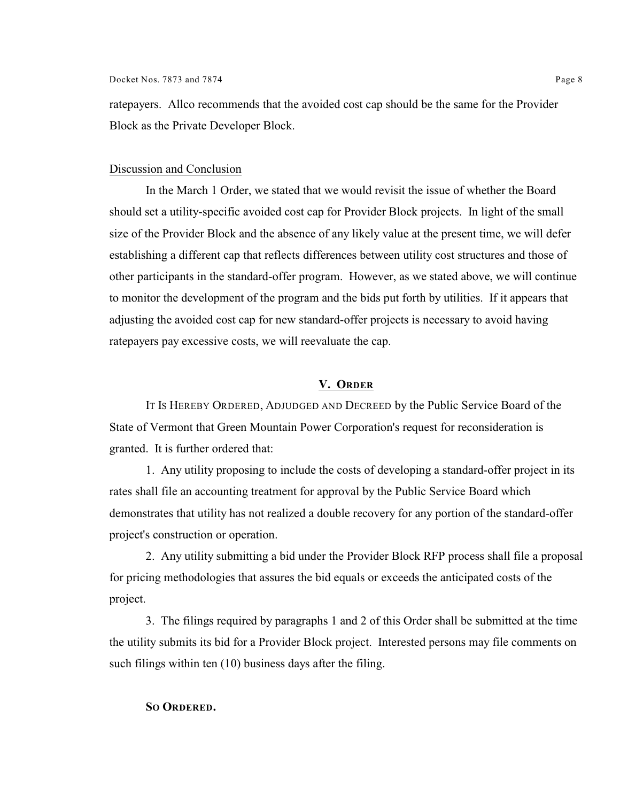ratepayers. Allco recommends that the avoided cost cap should be the same for the Provider Block as the Private Developer Block.

# Discussion and Conclusion

In the March 1 Order, we stated that we would revisit the issue of whether the Board should set a utility-specific avoided cost cap for Provider Block projects. In light of the small size of the Provider Block and the absence of any likely value at the present time, we will defer establishing a different cap that reflects differences between utility cost structures and those of other participants in the standard-offer program. However, as we stated above, we will continue to monitor the development of the program and the bids put forth by utilities. If it appears that adjusting the avoided cost cap for new standard-offer projects is necessary to avoid having ratepayers pay excessive costs, we will reevaluate the cap.

# **V. ORDER**

IT IS HEREBY ORDERED, ADJUDGED AND DECREED by the Public Service Board of the State of Vermont that Green Mountain Power Corporation's request for reconsideration is granted. It is further ordered that:

1. Any utility proposing to include the costs of developing a standard-offer project in its rates shall file an accounting treatment for approval by the Public Service Board which demonstrates that utility has not realized a double recovery for any portion of the standard-offer project's construction or operation.

2. Any utility submitting a bid under the Provider Block RFP process shall file a proposal for pricing methodologies that assures the bid equals or exceeds the anticipated costs of the project.

3. The filings required by paragraphs 1 and 2 of this Order shall be submitted at the time the utility submits its bid for a Provider Block project. Interested persons may file comments on such filings within ten (10) business days after the filing.

### **SO ORDERED.**